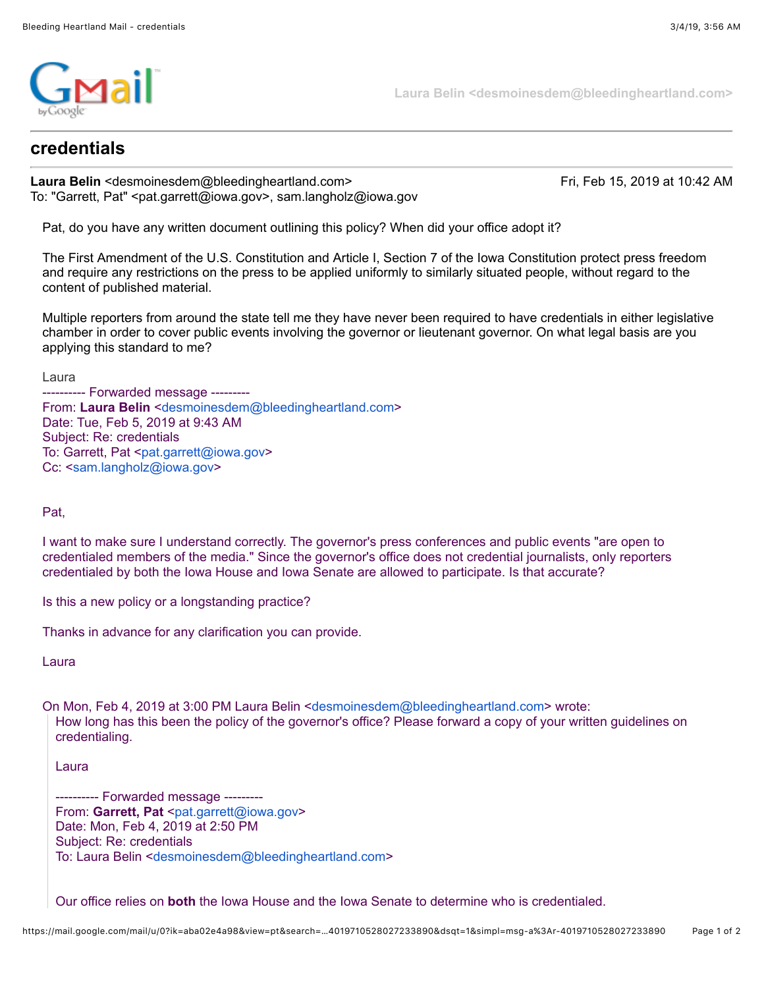

**Laura Belin <desmoinesdem@bleedingheartland.com>**

## **credentials**

**Laura Belin** <desmoinesdem@bleedingheartland.com> Fri, Feb 15, 2019 at 10:42 AM To: "Garrett, Pat" <pat.garrett@iowa.gov>, sam.langholz@iowa.gov

Pat, do you have any written document outlining this policy? When did your office adopt it?

The First Amendment of the U.S. Constitution and Article I, Section 7 of the Iowa Constitution protect press freedom and require any restrictions on the press to be applied uniformly to similarly situated people, without regard to the content of published material.

Multiple reporters from around the state tell me they have never been required to have credentials in either legislative chamber in order to cover public events involving the governor or lieutenant governor. On what legal basis are you applying this standard to me?

Laura

---------- Forwarded message --------- From: **Laura Belin** <[desmoinesdem@bleedingheartland.com>](mailto:desmoinesdem@bleedingheartland.com) Date: Tue, Feb 5, 2019 at 9:43 AM Subject: Re: credentials To: Garrett, Pat [<pat.garrett@iowa.gov](mailto:pat.garrett@iowa.gov)> Cc: <[sam.langholz@iowa.gov](mailto:sam.langholz@iowa.gov)>

Pat,

I want to make sure I understand correctly. The governor's press conferences and public events "are open to credentialed members of the media." Since the governor's office does not credential journalists, only reporters credentialed by both the Iowa House and Iowa Senate are allowed to participate. Is that accurate?

Is this a new policy or a longstanding practice?

Thanks in advance for any clarification you can provide.

Laura

On Mon, Feb 4, 2019 at 3:00 PM Laura Belin <[desmoinesdem@bleedingheartland.com](mailto:desmoinesdem@bleedingheartland.com)> wrote: How long has this been the policy of the governor's office? Please forward a copy of your written guidelines on credentialing.

Laura

---------- Forwarded message --------- From: Garrett, Pat [<pat.garrett@iowa.gov](mailto:pat.garrett@iowa.gov)> Date: Mon, Feb 4, 2019 at 2:50 PM Subject: Re: credentials To: Laura Belin <[desmoinesdem@bleedingheartland.com](mailto:desmoinesdem@bleedingheartland.com)>

Our office relies on **both** the Iowa House and the Iowa Senate to determine who is credentialed.